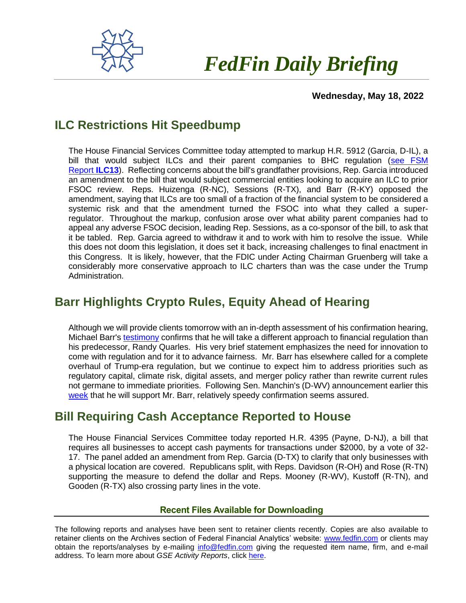

# *FedFin Daily Briefing*

#### **Wednesday, May 18, 2022**

## **ILC Restrictions Hit Speedbump**

The House Financial Services Committee today attempted to markup H.R. 5912 (Garcia, D-IL), a bill that would subject ILCs and their parent companies to BHC regulation [\(see FSM](https://fedfin.us14.list-manage.com/track/click?u=27f886fdd4a438ee1dc1f0774&id=bd88fa1ecb&e=288b5ff9aa)  [Report](https://fedfin.us14.list-manage.com/track/click?u=27f886fdd4a438ee1dc1f0774&id=bd88fa1ecb&e=288b5ff9aa) **ILC13**). Reflecting concerns about the bill's grandfather provisions, Rep. Garcia introduced an amendment to the bill that would subject commercial entities looking to acquire an ILC to prior FSOC review. Reps. Huizenga (R-NC), Sessions (R-TX), and Barr (R-KY) opposed the amendment, saying that ILCs are too small of a fraction of the financial system to be considered a systemic risk and that the amendment turned the FSOC into what they called a superregulator. Throughout the markup, confusion arose over what ability parent companies had to appeal any adverse FSOC decision, leading Rep. Sessions, as a co-sponsor of the bill, to ask that it be tabled. Rep. Garcia agreed to withdraw it and to work with him to resolve the issue. While this does not doom this legislation, it does set it back, increasing challenges to final enactment in this Congress. It is likely, however, that the FDIC under Acting Chairman Gruenberg will take a considerably more conservative approach to ILC charters than was the case under the Trump Administration.

## **Barr Highlights Crypto Rules, Equity Ahead of Hearing**

Although we will provide clients tomorrow with an in-depth assessment of his confirmation hearing, Michael Barr's [testimony](https://www.banking.senate.gov/imo/media/doc/Barr%20Testimony%205-19-22.pdf) confirms that he will take a different approach to financial regulation than his predecessor, Randy Quarles. His very brief statement emphasizes the need for innovation to come with regulation and for it to advance fairness. Mr. Barr has elsewhere called for a complete overhaul of Trump-era regulation, but we continue to expect him to address priorities such as regulatory capital, climate risk, digital assets, and merger policy rather than rewrite current rules not germane to immediate priorities. Following Sen. Manchin's (D-WV) announcement earlier this [week](https://twitter.com/Sen_JoeManchin/status/1526647861299097601) that he will support Mr. Barr, relatively speedy confirmation seems assured.

### **Bill Requiring Cash Acceptance Reported to House**

The House Financial Services Committee today reported H.R. 4395 (Payne, D-NJ), a bill that requires all businesses to accept cash payments for transactions under \$2000, by a vote of 32- 17. The panel added an amendment from Rep. Garcia (D-TX) to clarify that only businesses with a physical location are covered. Republicans split, with Reps. Davidson (R-OH) and Rose (R-TN) supporting the measure to defend the dollar and Reps. Mooney (R-WV), Kustoff (R-TN), and Gooden (R-TX) also crossing party lines in the vote.

#### **Recent Files Available for Downloading**

The following reports and analyses have been sent to retainer clients recently. Copies are also available to retainer clients on the Archives section of Federal Financial Analytics' website: [www.fedfin.com](http://www.fedfin.com/) or clients may obtain the reports/analyses by e-mailing [info@fedfin.com](mailto:info@fedfin.com) giving the requested item name, firm, and e-mail address. To learn more about *GSE Activity Reports*, click [here.](https://fedfin.com/gse-activity-report/)